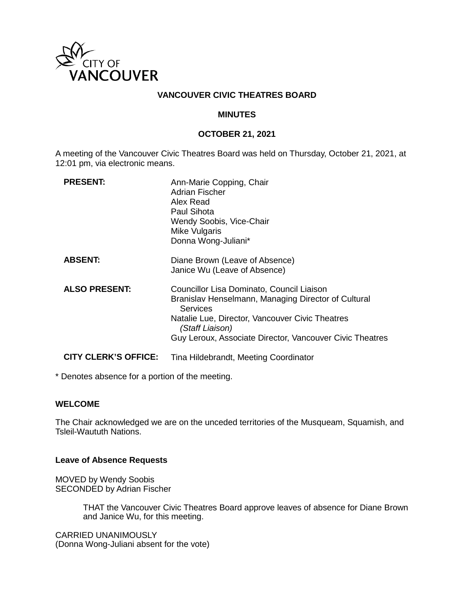

## **VANCOUVER CIVIC THEATRES BOARD**

### **MINUTES**

### **OCTOBER 21, 2021**

A meeting of the Vancouver Civic Theatres Board was held on Thursday, October 21, 2021, at 12:01 pm, via electronic means.

| <b>PRESENT:</b>             | Ann-Marie Copping, Chair<br>Adrian Fischer<br>Alex Read<br>Paul Sihota<br><b>Wendy Soobis, Vice-Chair</b><br>Mike Vulgaris<br>Donna Wong-Juliani*                                                                                                     |
|-----------------------------|-------------------------------------------------------------------------------------------------------------------------------------------------------------------------------------------------------------------------------------------------------|
| <b>ABSENT:</b>              | Diane Brown (Leave of Absence)<br>Janice Wu (Leave of Absence)                                                                                                                                                                                        |
| <b>ALSO PRESENT:</b>        | Councillor Lisa Dominato, Council Liaison<br>Branislav Henselmann, Managing Director of Cultural<br><b>Services</b><br>Natalie Lue, Director, Vancouver Civic Theatres<br>(Staff Liaison)<br>Guy Leroux, Associate Director, Vancouver Civic Theatres |
| <b>CITY CLERK'S OFFICE:</b> | Tina Hildebrandt, Meeting Coordinator                                                                                                                                                                                                                 |

\* Denotes absence for a portion of the meeting.

### **WELCOME**

The Chair acknowledged we are on the unceded territories of the Musqueam, Squamish, and Tsleil-Waututh Nations.

### **Leave of Absence Requests**

MOVED by Wendy Soobis SECONDED by Adrian Fischer

> THAT the Vancouver Civic Theatres Board approve leaves of absence for Diane Brown and Janice Wu, for this meeting.

CARRIED UNANIMOUSLY (Donna Wong-Juliani absent for the vote)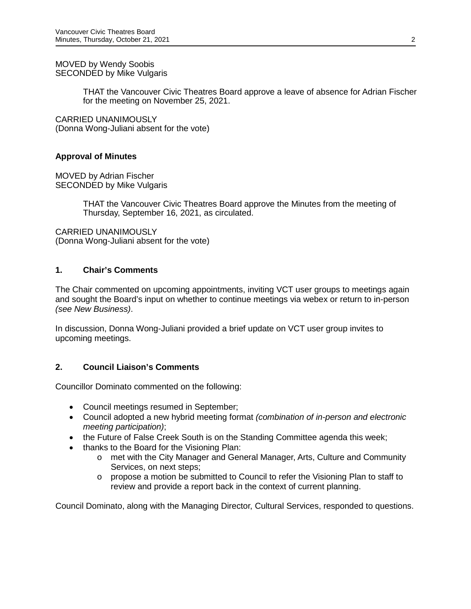MOVED by Wendy Soobis SECONDED by Mike Vulgaris

> THAT the Vancouver Civic Theatres Board approve a leave of absence for Adrian Fischer for the meeting on November 25, 2021.

CARRIED UNANIMOUSLY (Donna Wong-Juliani absent for the vote)

## **Approval of Minutes**

MOVED by Adrian Fischer SECONDED by Mike Vulgaris

> THAT the Vancouver Civic Theatres Board approve the Minutes from the meeting of Thursday, September 16, 2021, as circulated.

CARRIED UNANIMOUSLY (Donna Wong-Juliani absent for the vote)

### **1. Chair's Comments**

The Chair commented on upcoming appointments, inviting VCT user groups to meetings again and sought the Board's input on whether to continue meetings via webex or return to in-person *(see New Business)*.

In discussion, Donna Wong-Juliani provided a brief update on VCT user group invites to upcoming meetings.

## **2. Council Liaison's Comments**

Councillor Dominato commented on the following:

- Council meetings resumed in September;
- Council adopted a new hybrid meeting format *(combination of in-person and electronic meeting participation)*;
- the Future of False Creek South is on the Standing Committee agenda this week;
- thanks to the Board for the Visioning Plan:
	- o met with the City Manager and General Manager, Arts, Culture and Community Services, on next steps;
	- $\circ$  propose a motion be submitted to Council to refer the Visioning Plan to staff to review and provide a report back in the context of current planning.

Council Dominato, along with the Managing Director, Cultural Services, responded to questions.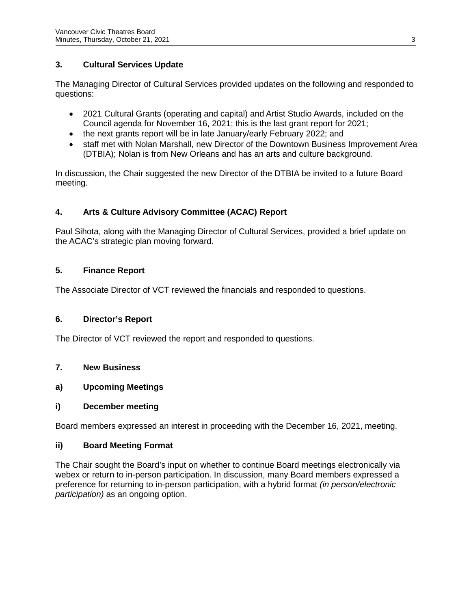## **3. Cultural Services Update**

The Managing Director of Cultural Services provided updates on the following and responded to questions:

- 2021 Cultural Grants (operating and capital) and Artist Studio Awards, included on the Council agenda for November 16, 2021; this is the last grant report for 2021;
- the next grants report will be in late January/early February 2022; and
- staff met with Nolan Marshall, new Director of the Downtown Business Improvement Area (DTBIA); Nolan is from New Orleans and has an arts and culture background.

In discussion, the Chair suggested the new Director of the DTBIA be invited to a future Board meeting.

# **4. Arts & Culture Advisory Committee (ACAC) Report**

Paul Sihota, along with the Managing Director of Cultural Services, provided a brief update on the ACAC's strategic plan moving forward.

# **5. Finance Report**

The Associate Director of VCT reviewed the financials and responded to questions.

## **6. Director's Report**

The Director of VCT reviewed the report and responded to questions.

## **7. New Business**

## **a) Upcoming Meetings**

## **i) December meeting**

Board members expressed an interest in proceeding with the December 16, 2021, meeting.

## **ii) Board Meeting Format**

The Chair sought the Board's input on whether to continue Board meetings electronically via webex or return to in-person participation. In discussion, many Board members expressed a preference for returning to in-person participation, with a hybrid format *(in person/electronic participation)* as an ongoing option.